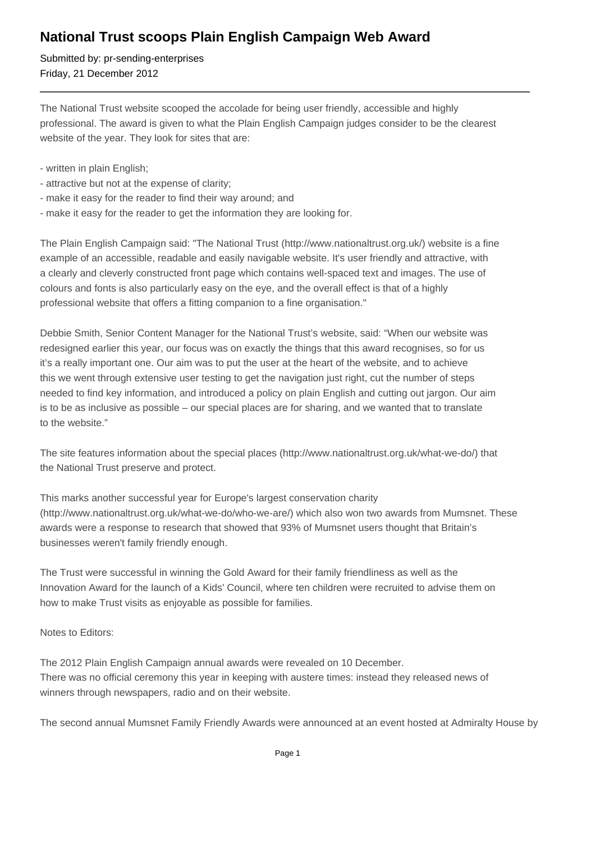## **National Trust scoops Plain English Campaign Web Award**

Submitted by: pr-sending-enterprises Friday, 21 December 2012

The National Trust website scooped the accolade for being user friendly, accessible and highly professional. The award is given to what the Plain English Campaign judges consider to be the clearest website of the year. They look for sites that are:

- written in plain English;
- attractive but not at the expense of clarity;
- make it easy for the reader to find their way around; and
- make it easy for the reader to get the information they are looking for.

The Plain English Campaign said: "The National Trust (http://www.nationaltrust.org.uk/) website is a fine example of an accessible, readable and easily navigable website. It's user friendly and attractive, with a clearly and cleverly constructed front page which contains well-spaced text and images. The use of colours and fonts is also particularly easy on the eye, and the overall effect is that of a highly professional website that offers a fitting companion to a fine organisation."

Debbie Smith, Senior Content Manager for the National Trust's website, said: "When our website was redesigned earlier this year, our focus was on exactly the things that this award recognises, so for us it's a really important one. Our aim was to put the user at the heart of the website, and to achieve this we went through extensive user testing to get the navigation just right, cut the number of steps needed to find key information, and introduced a policy on plain English and cutting out jargon. Our aim is to be as inclusive as possible – our special places are for sharing, and we wanted that to translate to the website."

The site features information about the special places (http://www.nationaltrust.org.uk/what-we-do/) that the National Trust preserve and protect.

This marks another successful year for Europe's largest conservation charity (http://www.nationaltrust.org.uk/what-we-do/who-we-are/) which also won two awards from Mumsnet. These awards were a response to research that showed that 93% of Mumsnet users thought that Britain's businesses weren't family friendly enough.

The Trust were successful in winning the Gold Award for their family friendliness as well as the Innovation Award for the launch of a Kids' Council, where ten children were recruited to advise them on how to make Trust visits as enjoyable as possible for families.

Notes to Editors:

The 2012 Plain English Campaign annual awards were revealed on 10 December. There was no official ceremony this year in keeping with austere times: instead they released news of winners through newspapers, radio and on their website.

The second annual Mumsnet Family Friendly Awards were announced at an event hosted at Admiralty House by